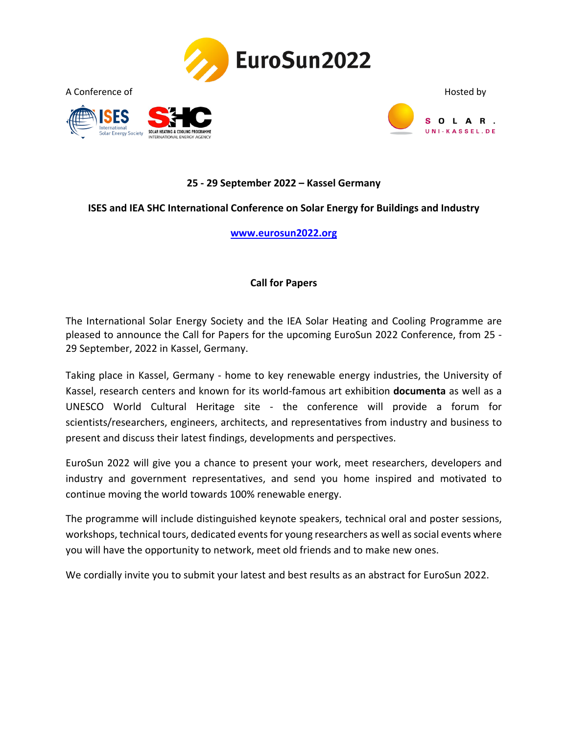





## **25 - 29 September 2022 – Kassel Germany**

#### **ISES and IEA SHC International Conference on Solar Energy for Buildings and Industry**

#### **[www.eurosun2022.org](https://www.eurosun2022.org/)**

#### **Call for Papers**

The International Solar Energy Society and the IEA Solar Heating and Cooling Programme are pleased to announce the Call for Papers for the upcoming [EuroSun 2022 Conference,](https://www.eurosun2022.org/) from 25 - 29 September, 2022 in Kassel, Germany.

Taking place in Kassel, Germany - home to key renewable energy industries, the University of Kassel, research centers and known for its world-famous art exhibition **documenta** as well as a UNESCO World Cultural Heritage site - the conference will provide a forum for scientists/researchers, engineers, architects, and representatives from industry and business to present and discuss their latest findings, developments and perspectives.

EuroSun 2022 will give you a chance to present your work, meet researchers, developers and industry and government representatives, and send you home inspired and motivated to continue moving the world towards 100% renewable energy.

The programme will include distinguished keynote speakers, technical oral and poster sessions, workshops, technical tours, dedicated events for young researchers as well as social events where you will have the opportunity to network, meet old friends and to make new ones.

We cordially invite you to submit your latest and best results as an abstract for EuroSun 2022.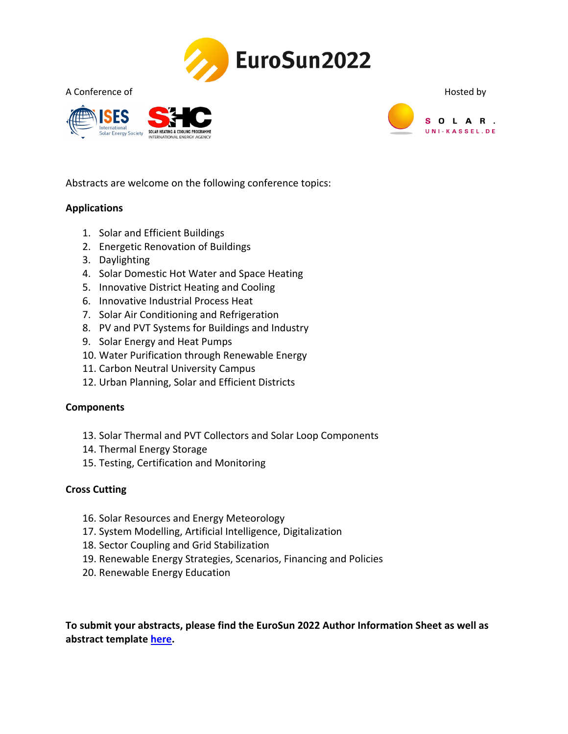

A Conference of **Hosted by** Hosted by  $\blacksquare$ 





Abstracts are welcome on the following conference topics:

## **Applications**

- 1. Solar and Efficient Buildings
- 2. Energetic Renovation of Buildings
- 3. Daylighting
- 4. Solar Domestic Hot Water and Space Heating
- 5. Innovative District Heating and Cooling
- 6. Innovative Industrial Process Heat
- 7. Solar Air Conditioning and Refrigeration
- 8. PV and PVT Systems for Buildings and Industry
- 9. Solar Energy and Heat Pumps
- 10. Water Purification through Renewable Energy
- 11. Carbon Neutral University Campus
- 12. Urban Planning, Solar and Efficient Districts

#### **Components**

- 13. Solar Thermal and PVT Collectors and Solar Loop Components
- 14. Thermal Energy Storage
- 15. Testing, Certification and Monitoring

#### **Cross Cutting**

- 16. Solar Resources and Energy Meteorology
- 17. System Modelling, Artificial Intelligence, Digitalization
- 18. Sector Coupling and Grid Stabilization
- 19. Renewable Energy Strategies, Scenarios, Financing and Policies
- 20. Renewable Energy Education

**To submit your abstracts, please find the EuroSun 2022 Author Information Sheet as well as abstract template [here.](https://www.eurosun2022.org/call-papers)**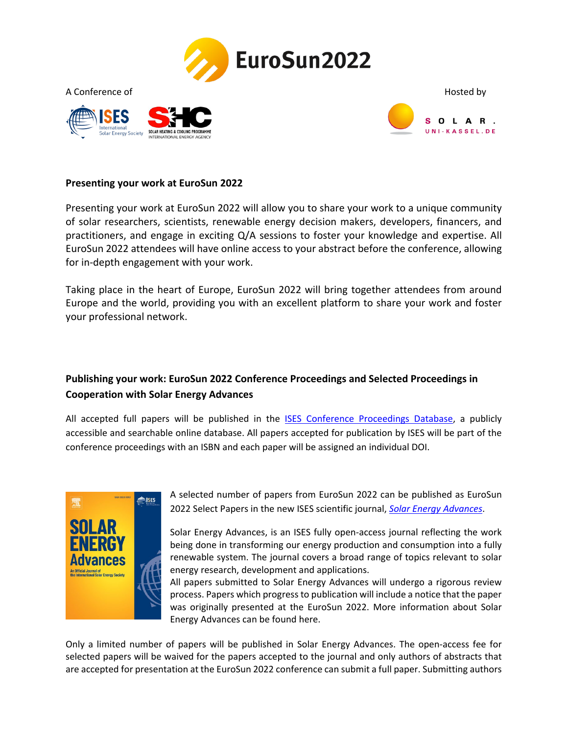





### **Presenting your work at EuroSun 2022**

Presenting your work at EuroSun 2022 will allow you to share your work to a unique community of solar researchers, scientists, renewable energy decision makers, developers, financers, and practitioners, and engage in exciting Q/A sessions to foster your knowledge and expertise. All EuroSun 2022 attendees will have online access to your abstract before the conference, allowing for in-depth engagement with your work.

Taking place in the heart of Europe, EuroSun 2022 will bring together attendees from around Europe and the world, providing you with an excellent platform to share your work and foster your professional network.

# **Publishing your work: EuroSun 2022 Conference Proceedings and Selected Proceedings in Cooperation with Solar Energy Advances**

All accepted full papers will be published in the [ISES Conference Proceedings Database,](https://proceedings.ises.org/) a publicly accessible and searchable online database. All papers accepted for publication by ISES will be part of the conference proceedings with an ISBN and each paper will be assigned an individual DOI.



A selected number of papers from EuroSun 2022 can be published as EuroSun 2022 Select Papers in the new ISES scientific journal, *[Solar Energy Advances](https://www.journals.elsevier.com/solar-energy-advances)*.

Solar Energy Advances, is an ISES fully open-access journal reflecting the work being done in transforming our energy production and consumption into a fully renewable system. The journal covers a broad range of topics relevant to solar energy research, development and applications.

All papers submitted to Solar Energy Advances will undergo a rigorous review process. Papers which progress to publication will include a notice that the paper was originally presented at the EuroSun 2022. More information about Solar Energy Advances can be found here.

Only a limited number of papers will be published in Solar Energy Advances. The open-access fee for selected papers will be waived for the papers accepted to the journal and only authors of abstracts that are accepted for presentation at the EuroSun 2022 conference can submit a full paper. Submitting authors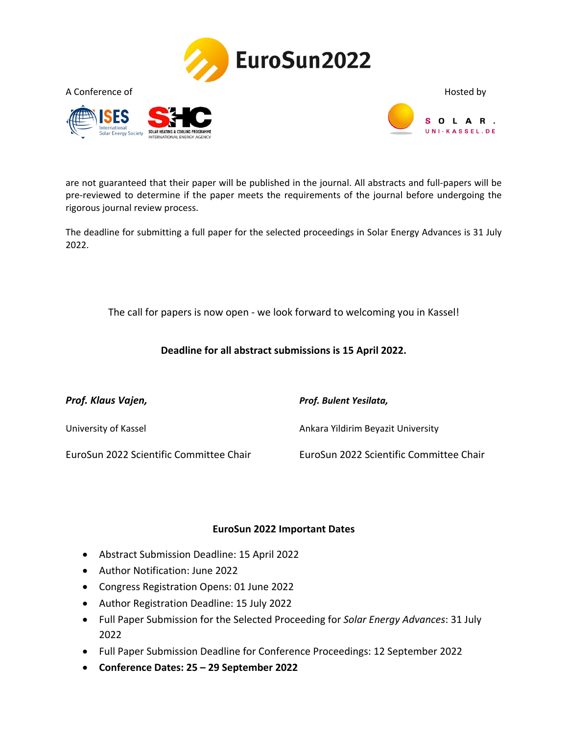





are not guaranteed that their paper will be published in the journal. All abstracts and full-papers will be pre-reviewed to determine if the paper meets the requirements of the journal before undergoing the rigorous journal review process.

The deadline for submitting a full paper for the selected proceedings in Solar Energy Advances is 31 July 2022.

The call for papers is now open - we look forward to welcoming you in Kassel!

**Deadline for all abstract submissions is 15 April 2022.**

| Prof. Klaus Vajen,                      | Prof. Bulent Yesilata,                  |
|-----------------------------------------|-----------------------------------------|
| University of Kassel                    | Ankara Yildirim Beyazit University      |
| EuroSun 2022 Scientific Committee Chair | EuroSun 2022 Scientific Committee Chair |

#### **EuroSun 2022 Important Dates**

- Abstract Submission Deadline: 15 April 2022
- Author Notification: June 2022
- Congress Registration Opens: 01 June 2022
- Author Registration Deadline: 15 July 2022
- Full Paper Submission for the Selected Proceeding for *Solar Energy Advances*: 31 July 2022
- Full Paper Submission Deadline for Conference Proceedings: 12 September 2022
- **Conference Dates: 25 – 29 September 2022**